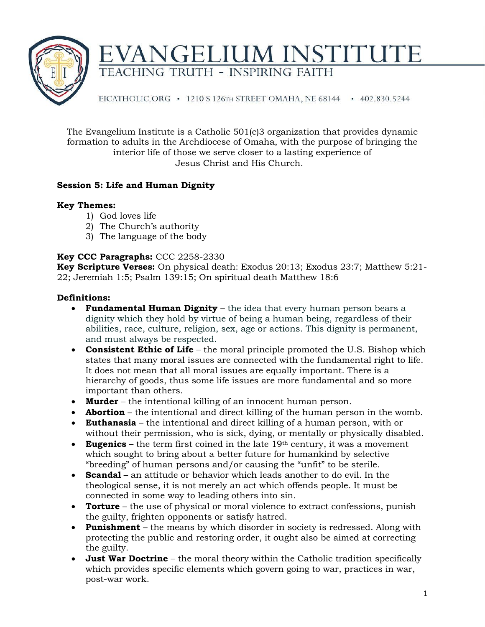

# VANGELIUM INSTITUTE

TEACHING TRUTH - INSPIRING FAITH

EICATHOLIC.ORG • 1210 S 126TH STREET OMAHA, NE 68144 • 402.830.5244

The Evangelium Institute is a Catholic 501(c)3 organization that provides dynamic formation to adults in the Archdiocese of Omaha, with the purpose of bringing the interior life of those we serve closer to a lasting experience of Jesus Christ and His Church.

# **Session 5: Life and Human Dignity**

#### **Key Themes:**

- 1) God loves life
- 2) The Church's authority
- 3) The language of the body

# **Key CCC Paragraphs:** CCC 2258-2330

**Key Scripture Verses:** On physical death: Exodus 20:13; Exodus 23:7; Matthew 5:21- 22; Jeremiah 1:5; Psalm 139:15; On spiritual death Matthew 18:6

# **Definitions:**

- **Fundamental Human Dignity** the idea that every human person bears a dignity which they hold by virtue of being a human being, regardless of their abilities, race, culture, religion, sex, age or actions. This dignity is permanent, and must always be respected.
- **Consistent Ethic of Life** the moral principle promoted the U.S. Bishop which states that many moral issues are connected with the fundamental right to life. It does not mean that all moral issues are equally important. There is a hierarchy of goods, thus some life issues are more fundamental and so more important than others.
- **Murder** the intentional killing of an innocent human person.
- **Abortion** the intentional and direct killing of the human person in the womb.
- **Euthanasia** the intentional and direct killing of a human person, with or without their permission, who is sick, dying, or mentally or physically disabled.
- **Eugenics** the term first coined in the late 19th century, it was a movement which sought to bring about a better future for humankind by selective "breeding" of human persons and/or causing the "unfit" to be sterile.
- **Scandal** an attitude or behavior which leads another to do evil. In the theological sense, it is not merely an act which offends people. It must be connected in some way to leading others into sin.
- **Torture** the use of physical or moral violence to extract confessions, punish the guilty, frighten opponents or satisfy hatred.
- **Punishment** the means by which disorder in society is redressed. Along with protecting the public and restoring order, it ought also be aimed at correcting the guilty.
- **Just War Doctrine** the moral theory within the Catholic tradition specifically which provides specific elements which govern going to war, practices in war, post-war work.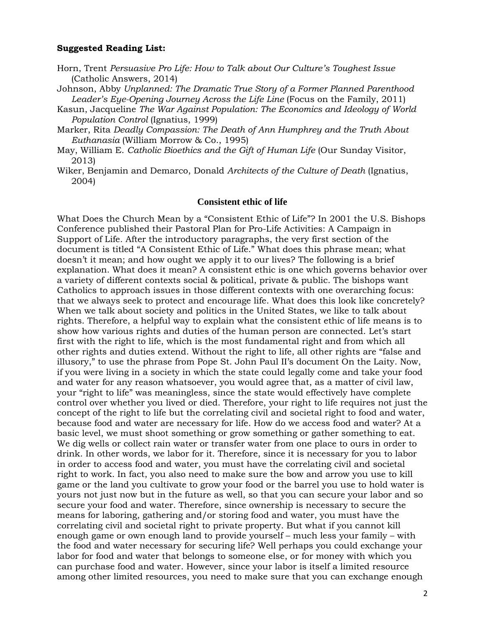#### **Suggested Reading List:**

- Horn, Trent *Persuasive Pro Life: How to Talk about Our Culture's Toughest Issue* (Catholic Answers, 2014)
- Johnson, Abby *Unplanned: The Dramatic True Story of a Former Planned Parenthood Leader's Eye-Opening Journey Across the Life Line* (Focus on the Family, 2011)
- Kasun, Jacqueline *The War Against Population: The Economics and Ideology of World Population Control* (Ignatius, 1999)
- Marker, Rita *Deadly Compassion: The Death of Ann Humphrey and the Truth About Euthanasia* (William Morrow & Co., 1995)
- May, William E. *Catholic Bioethics and the Gift of Human Life* (Our Sunday Visitor, 2013)
- Wiker, Benjamin and Demarco, Donald *Architects of the Culture of Death* (Ignatius, 2004)

#### **Consistent ethic of life**

What Does the Church Mean by a "Consistent Ethic of Life"? In 2001 the U.S. Bishops Conference published their Pastoral Plan for Pro-Life Activities: A Campaign in Support of Life. After the introductory paragraphs, the very first section of the document is titled "A Consistent Ethic of Life." What does this phrase mean; what doesn't it mean; and how ought we apply it to our lives? The following is a brief explanation. What does it mean? A consistent ethic is one which governs behavior over a variety of different contexts social & political, private & public. The bishops want Catholics to approach issues in those different contexts with one overarching focus: that we always seek to protect and encourage life. What does this look like concretely? When we talk about society and politics in the United States, we like to talk about rights. Therefore, a helpful way to explain what the consistent ethic of life means is to show how various rights and duties of the human person are connected. Let's start first with the right to life, which is the most fundamental right and from which all other rights and duties extend. Without the right to life, all other rights are "false and illusory," to use the phrase from Pope St. John Paul II's document On the Laity. Now, if you were living in a society in which the state could legally come and take your food and water for any reason whatsoever, you would agree that, as a matter of civil law, your "right to life" was meaningless, since the state would effectively have complete control over whether you lived or died. Therefore, your right to life requires not just the concept of the right to life but the correlating civil and societal right to food and water, because food and water are necessary for life. How do we access food and water? At a basic level, we must shoot something or grow something or gather something to eat. We dig wells or collect rain water or transfer water from one place to ours in order to drink. In other words, we labor for it. Therefore, since it is necessary for you to labor in order to access food and water, you must have the correlating civil and societal right to work. In fact, you also need to make sure the bow and arrow you use to kill game or the land you cultivate to grow your food or the barrel you use to hold water is yours not just now but in the future as well, so that you can secure your labor and so secure your food and water. Therefore, since ownership is necessary to secure the means for laboring, gathering and/or storing food and water, you must have the correlating civil and societal right to private property. But what if you cannot kill enough game or own enough land to provide yourself – much less your family – with the food and water necessary for securing life? Well perhaps you could exchange your labor for food and water that belongs to someone else, or for money with which you can purchase food and water. However, since your labor is itself a limited resource among other limited resources, you need to make sure that you can exchange enough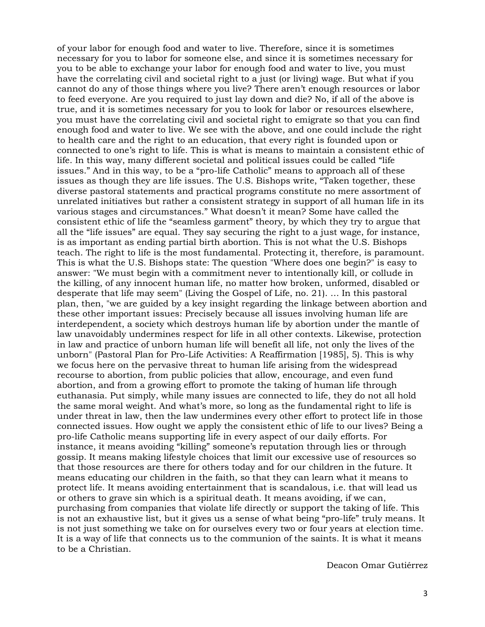of your labor for enough food and water to live. Therefore, since it is sometimes necessary for you to labor for someone else, and since it is sometimes necessary for you to be able to exchange your labor for enough food and water to live, you must have the correlating civil and societal right to a just (or living) wage. But what if you cannot do any of those things where you live? There aren't enough resources or labor to feed everyone. Are you required to just lay down and die? No, if all of the above is true, and it is sometimes necessary for you to look for labor or resources elsewhere, you must have the correlating civil and societal right to emigrate so that you can find enough food and water to live. We see with the above, and one could include the right to health care and the right to an education, that every right is founded upon or connected to one's right to life. This is what is means to maintain a consistent ethic of life. In this way, many different societal and political issues could be called "life issues." And in this way, to be a "pro-life Catholic" means to approach all of these issues as though they are life issues. The U.S. Bishops write, "Taken together, these diverse pastoral statements and practical programs constitute no mere assortment of unrelated initiatives but rather a consistent strategy in support of all human life in its various stages and circumstances." What doesn't it mean? Some have called the consistent ethic of life the "seamless garment" theory, by which they try to argue that all the "life issues" are equal. They say securing the right to a just wage, for instance, is as important as ending partial birth abortion. This is not what the U.S. Bishops teach. The right to life is the most fundamental. Protecting it, therefore, is paramount. This is what the U.S. Bishops state: The question "Where does one begin?" is easy to answer: "We must begin with a commitment never to intentionally kill, or collude in the killing, of any innocent human life, no matter how broken, unformed, disabled or desperate that life may seem" (Living the Gospel of Life, no. 21). … In this pastoral plan, then, "we are guided by a key insight regarding the linkage between abortion and these other important issues: Precisely because all issues involving human life are interdependent, a society which destroys human life by abortion under the mantle of law unavoidably undermines respect for life in all other contexts. Likewise, protection in law and practice of unborn human life will benefit all life, not only the lives of the unborn" (Pastoral Plan for Pro-Life Activities: A Reaffirmation [1985], 5). This is why we focus here on the pervasive threat to human life arising from the widespread recourse to abortion, from public policies that allow, encourage, and even fund abortion, and from a growing effort to promote the taking of human life through euthanasia. Put simply, while many issues are connected to life, they do not all hold the same moral weight. And what's more, so long as the fundamental right to life is under threat in law, then the law undermines every other effort to protect life in those connected issues. How ought we apply the consistent ethic of life to our lives? Being a pro-life Catholic means supporting life in every aspect of our daily efforts. For instance, it means avoiding "killing" someone's reputation through lies or through gossip. It means making lifestyle choices that limit our excessive use of resources so that those resources are there for others today and for our children in the future. It means educating our children in the faith, so that they can learn what it means to protect life. It means avoiding entertainment that is scandalous, i.e. that will lead us or others to grave sin which is a spiritual death. It means avoiding, if we can, purchasing from companies that violate life directly or support the taking of life. This is not an exhaustive list, but it gives us a sense of what being "pro-life" truly means. It is not just something we take on for ourselves every two or four years at election time. It is a way of life that connects us to the communion of the saints. It is what it means to be a Christian.

Deacon Omar Gutiérrez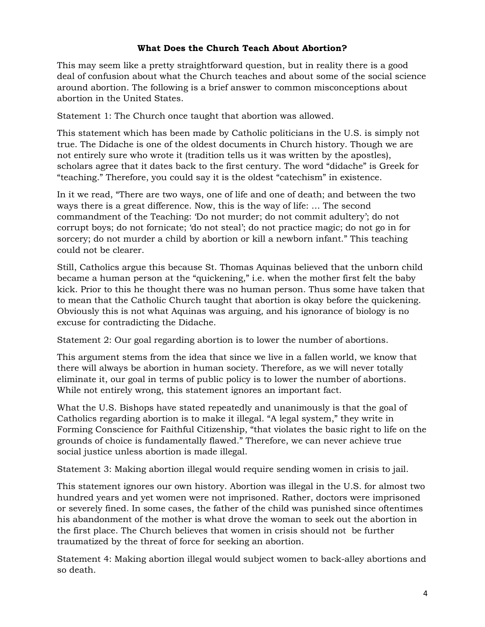# **What Does the Church Teach About Abortion?**

This may seem like a pretty straightforward question, but in reality there is a good deal of confusion about what the Church teaches and about some of the social science around abortion. The following is a brief answer to common misconceptions about abortion in the United States.

Statement 1: The Church once taught that abortion was allowed.

This statement which has been made by Catholic politicians in the U.S. is simply not true. The Didache is one of the oldest documents in Church history. Though we are not entirely sure who wrote it (tradition tells us it was written by the apostles), scholars agree that it dates back to the first century. The word "didache" is Greek for "teaching." Therefore, you could say it is the oldest "catechism" in existence.

In it we read, "There are two ways, one of life and one of death; and between the two ways there is a great difference. Now, this is the way of life: … The second commandment of the Teaching: 'Do not murder; do not commit adultery'; do not corrupt boys; do not fornicate; 'do not steal'; do not practice magic; do not go in for sorcery; do not murder a child by abortion or kill a newborn infant." This teaching could not be clearer.

Still, Catholics argue this because St. Thomas Aquinas believed that the unborn child became a human person at the "quickening," i.e. when the mother first felt the baby kick. Prior to this he thought there was no human person. Thus some have taken that to mean that the Catholic Church taught that abortion is okay before the quickening. Obviously this is not what Aquinas was arguing, and his ignorance of biology is no excuse for contradicting the Didache.

Statement 2: Our goal regarding abortion is to lower the number of abortions.

This argument stems from the idea that since we live in a fallen world, we know that there will always be abortion in human society. Therefore, as we will never totally eliminate it, our goal in terms of public policy is to lower the number of abortions. While not entirely wrong, this statement ignores an important fact.

What the U.S. Bishops have stated repeatedly and unanimously is that the goal of Catholics regarding abortion is to make it illegal. "A legal system," they write in Forming Conscience for Faithful Citizenship, "that violates the basic right to life on the grounds of choice is fundamentally flawed." Therefore, we can never achieve true social justice unless abortion is made illegal.

Statement 3: Making abortion illegal would require sending women in crisis to jail.

This statement ignores our own history. Abortion was illegal in the U.S. for almost two hundred years and yet women were not imprisoned. Rather, doctors were imprisoned or severely fined. In some cases, the father of the child was punished since oftentimes his abandonment of the mother is what drove the woman to seek out the abortion in the first place. The Church believes that women in crisis should not be further traumatized by the threat of force for seeking an abortion.

Statement 4: Making abortion illegal would subject women to back-alley abortions and so death.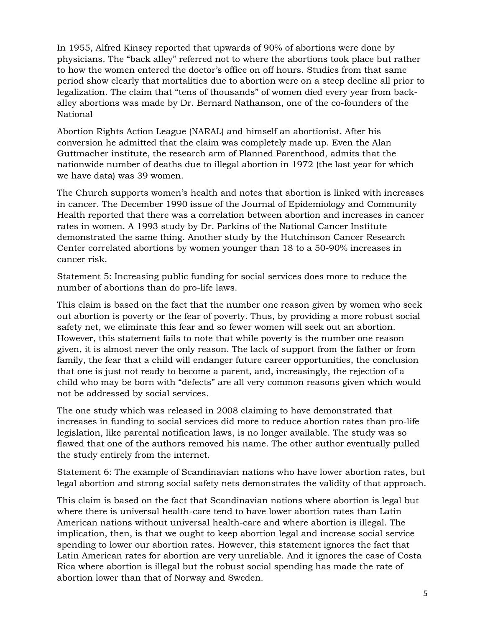In 1955, Alfred Kinsey reported that upwards of 90% of abortions were done by physicians. The "back alley" referred not to where the abortions took place but rather to how the women entered the doctor's office on off hours. Studies from that same period show clearly that mortalities due to abortion were on a steep decline all prior to legalization. The claim that "tens of thousands" of women died every year from backalley abortions was made by Dr. Bernard Nathanson, one of the co-founders of the National

Abortion Rights Action League (NARAL) and himself an abortionist. After his conversion he admitted that the claim was completely made up. Even the Alan Guttmacher institute, the research arm of Planned Parenthood, admits that the nationwide number of deaths due to illegal abortion in 1972 (the last year for which we have data) was 39 women.

The Church supports women's health and notes that abortion is linked with increases in cancer. The December 1990 issue of the Journal of Epidemiology and Community Health reported that there was a correlation between abortion and increases in cancer rates in women. A 1993 study by Dr. Parkins of the National Cancer Institute demonstrated the same thing. Another study by the Hutchinson Cancer Research Center correlated abortions by women younger than 18 to a 50-90% increases in cancer risk.

Statement 5: Increasing public funding for social services does more to reduce the number of abortions than do pro-life laws.

This claim is based on the fact that the number one reason given by women who seek out abortion is poverty or the fear of poverty. Thus, by providing a more robust social safety net, we eliminate this fear and so fewer women will seek out an abortion. However, this statement fails to note that while poverty is the number one reason given, it is almost never the only reason. The lack of support from the father or from family, the fear that a child will endanger future career opportunities, the conclusion that one is just not ready to become a parent, and, increasingly, the rejection of a child who may be born with "defects" are all very common reasons given which would not be addressed by social services.

The one study which was released in 2008 claiming to have demonstrated that increases in funding to social services did more to reduce abortion rates than pro-life legislation, like parental notification laws, is no longer available. The study was so flawed that one of the authors removed his name. The other author eventually pulled the study entirely from the internet.

Statement 6: The example of Scandinavian nations who have lower abortion rates, but legal abortion and strong social safety nets demonstrates the validity of that approach.

This claim is based on the fact that Scandinavian nations where abortion is legal but where there is universal health-care tend to have lower abortion rates than Latin American nations without universal health-care and where abortion is illegal. The implication, then, is that we ought to keep abortion legal and increase social service spending to lower our abortion rates. However, this statement ignores the fact that Latin American rates for abortion are very unreliable. And it ignores the case of Costa Rica where abortion is illegal but the robust social spending has made the rate of abortion lower than that of Norway and Sweden.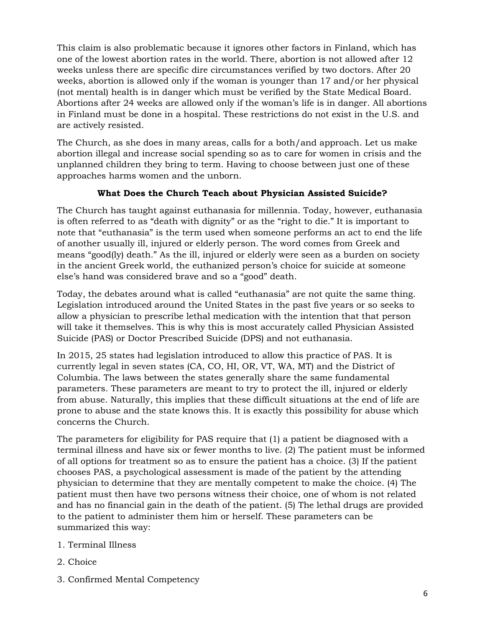This claim is also problematic because it ignores other factors in Finland, which has one of the lowest abortion rates in the world. There, abortion is not allowed after 12 weeks unless there are specific dire circumstances verified by two doctors. After 20 weeks, abortion is allowed only if the woman is younger than 17 and/or her physical (not mental) health is in danger which must be verified by the State Medical Board. Abortions after 24 weeks are allowed only if the woman's life is in danger. All abortions in Finland must be done in a hospital. These restrictions do not exist in the U.S. and are actively resisted.

The Church, as she does in many areas, calls for a both/and approach. Let us make abortion illegal and increase social spending so as to care for women in crisis and the unplanned children they bring to term. Having to choose between just one of these approaches harms women and the unborn.

# **What Does the Church Teach about Physician Assisted Suicide?**

The Church has taught against euthanasia for millennia. Today, however, euthanasia is often referred to as "death with dignity" or as the "right to die." It is important to note that "euthanasia" is the term used when someone performs an act to end the life of another usually ill, injured or elderly person. The word comes from Greek and means "good(ly) death." As the ill, injured or elderly were seen as a burden on society in the ancient Greek world, the euthanized person's choice for suicide at someone else's hand was considered brave and so a "good" death.

Today, the debates around what is called "euthanasia" are not quite the same thing. Legislation introduced around the United States in the past five years or so seeks to allow a physician to prescribe lethal medication with the intention that that person will take it themselves. This is why this is most accurately called Physician Assisted Suicide (PAS) or Doctor Prescribed Suicide (DPS) and not euthanasia.

In 2015, 25 states had legislation introduced to allow this practice of PAS. It is currently legal in seven states (CA, CO, HI, OR, VT, WA, MT) and the District of Columbia. The laws between the states generally share the same fundamental parameters. These parameters are meant to try to protect the ill, injured or elderly from abuse. Naturally, this implies that these difficult situations at the end of life are prone to abuse and the state knows this. It is exactly this possibility for abuse which concerns the Church.

The parameters for eligibility for PAS require that (1) a patient be diagnosed with a terminal illness and have six or fewer months to live. (2) The patient must be informed of all options for treatment so as to ensure the patient has a choice. (3) If the patient chooses PAS, a psychological assessment is made of the patient by the attending physician to determine that they are mentally competent to make the choice. (4) The patient must then have two persons witness their choice, one of whom is not related and has no financial gain in the death of the patient. (5) The lethal drugs are provided to the patient to administer them him or herself. These parameters can be summarized this way:

# 1. Terminal Illness

- 2. Choice
- 3. Confirmed Mental Competency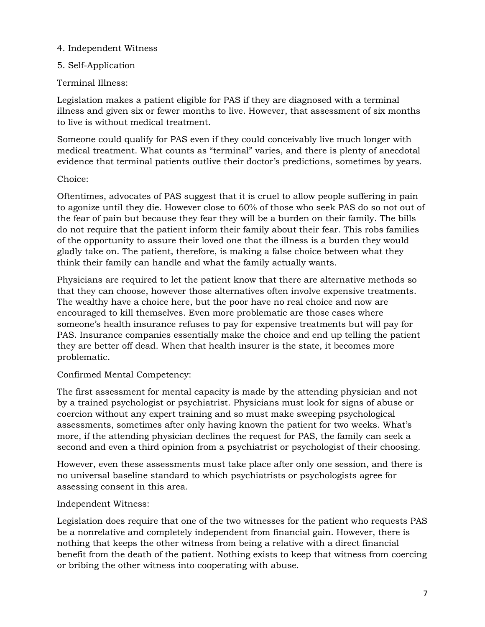#### 4. Independent Witness

#### 5. Self-Application

#### Terminal Illness:

Legislation makes a patient eligible for PAS if they are diagnosed with a terminal illness and given six or fewer months to live. However, that assessment of six months to live is without medical treatment.

Someone could qualify for PAS even if they could conceivably live much longer with medical treatment. What counts as "terminal" varies, and there is plenty of anecdotal evidence that terminal patients outlive their doctor's predictions, sometimes by years.

#### Choice:

Oftentimes, advocates of PAS suggest that it is cruel to allow people suffering in pain to agonize until they die. However close to 60% of those who seek PAS do so not out of the fear of pain but because they fear they will be a burden on their family. The bills do not require that the patient inform their family about their fear. This robs families of the opportunity to assure their loved one that the illness is a burden they would gladly take on. The patient, therefore, is making a false choice between what they think their family can handle and what the family actually wants.

Physicians are required to let the patient know that there are alternative methods so that they can choose, however those alternatives often involve expensive treatments. The wealthy have a choice here, but the poor have no real choice and now are encouraged to kill themselves. Even more problematic are those cases where someone's health insurance refuses to pay for expensive treatments but will pay for PAS. Insurance companies essentially make the choice and end up telling the patient they are better off dead. When that health insurer is the state, it becomes more problematic.

# Confirmed Mental Competency:

The first assessment for mental capacity is made by the attending physician and not by a trained psychologist or psychiatrist. Physicians must look for signs of abuse or coercion without any expert training and so must make sweeping psychological assessments, sometimes after only having known the patient for two weeks. What's more, if the attending physician declines the request for PAS, the family can seek a second and even a third opinion from a psychiatrist or psychologist of their choosing.

However, even these assessments must take place after only one session, and there is no universal baseline standard to which psychiatrists or psychologists agree for assessing consent in this area.

#### Independent Witness:

Legislation does require that one of the two witnesses for the patient who requests PAS be a nonrelative and completely independent from financial gain. However, there is nothing that keeps the other witness from being a relative with a direct financial benefit from the death of the patient. Nothing exists to keep that witness from coercing or bribing the other witness into cooperating with abuse.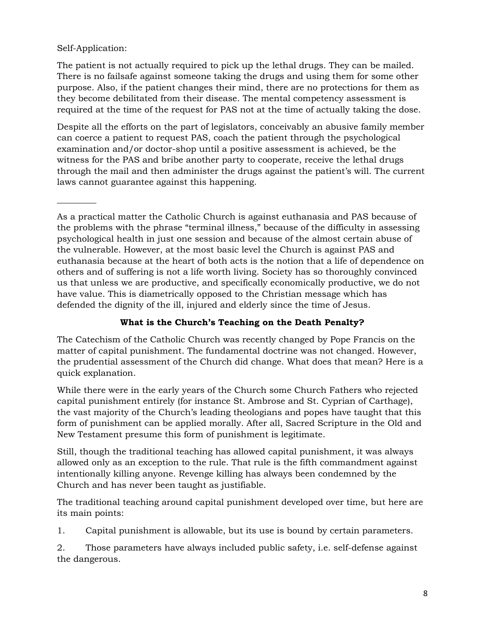#### Self-Application:

\_\_\_\_\_\_\_\_\_

The patient is not actually required to pick up the lethal drugs. They can be mailed. There is no failsafe against someone taking the drugs and using them for some other purpose. Also, if the patient changes their mind, there are no protections for them as they become debilitated from their disease. The mental competency assessment is required at the time of the request for PAS not at the time of actually taking the dose.

Despite all the efforts on the part of legislators, conceivably an abusive family member can coerce a patient to request PAS, coach the patient through the psychological examination and/or doctor-shop until a positive assessment is achieved, be the witness for the PAS and bribe another party to cooperate, receive the lethal drugs through the mail and then administer the drugs against the patient's will. The current laws cannot guarantee against this happening.

As a practical matter the Catholic Church is against euthanasia and PAS because of the problems with the phrase "terminal illness," because of the difficulty in assessing psychological health in just one session and because of the almost certain abuse of the vulnerable. However, at the most basic level the Church is against PAS and euthanasia because at the heart of both acts is the notion that a life of dependence on others and of suffering is not a life worth living. Society has so thoroughly convinced us that unless we are productive, and specifically economically productive, we do not have value. This is diametrically opposed to the Christian message which has defended the dignity of the ill, injured and elderly since the time of Jesus.

# **What is the Church's Teaching on the Death Penalty?**

The Catechism of the Catholic Church was recently changed by Pope Francis on the matter of capital punishment. The fundamental doctrine was not changed. However, the prudential assessment of the Church did change. What does that mean? Here is a quick explanation.

While there were in the early years of the Church some Church Fathers who rejected capital punishment entirely (for instance St. Ambrose and St. Cyprian of Carthage), the vast majority of the Church's leading theologians and popes have taught that this form of punishment can be applied morally. After all, Sacred Scripture in the Old and New Testament presume this form of punishment is legitimate.

Still, though the traditional teaching has allowed capital punishment, it was always allowed only as an exception to the rule. That rule is the fifth commandment against intentionally killing anyone. Revenge killing has always been condemned by the Church and has never been taught as justifiable.

The traditional teaching around capital punishment developed over time, but here are its main points:

1. Capital punishment is allowable, but its use is bound by certain parameters.

2. Those parameters have always included public safety, i.e. self-defense against the dangerous.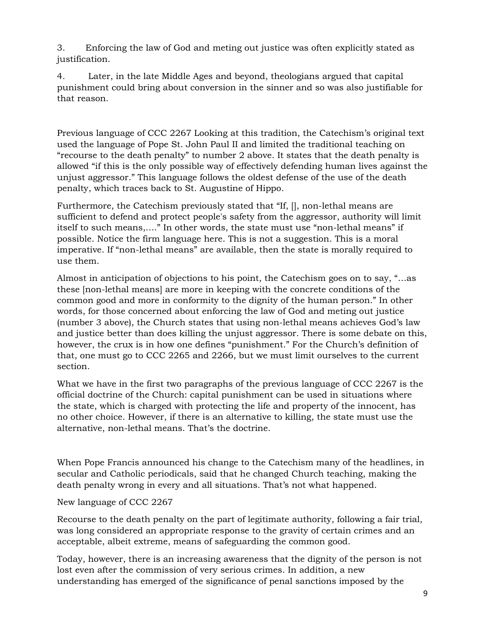3. Enforcing the law of God and meting out justice was often explicitly stated as justification.

4. Later, in the late Middle Ages and beyond, theologians argued that capital punishment could bring about conversion in the sinner and so was also justifiable for that reason.

Previous language of CCC 2267 Looking at this tradition, the Catechism's original text used the language of Pope St. John Paul II and limited the traditional teaching on "recourse to the death penalty" to number 2 above. It states that the death penalty is allowed "if this is the only possible way of effectively defending human lives against the unjust aggressor." This language follows the oldest defense of the use of the death penalty, which traces back to St. Augustine of Hippo.

Furthermore, the Catechism previously stated that "If, [], non-lethal means are sufficient to defend and protect people's safety from the aggressor, authority will limit itself to such means,…." In other words, the state must use "non-lethal means" if possible. Notice the firm language here. This is not a suggestion. This is a moral imperative. If "non-lethal means" are available, then the state is morally required to use them.

Almost in anticipation of objections to his point, the Catechism goes on to say, "…as these [non-lethal means] are more in keeping with the concrete conditions of the common good and more in conformity to the dignity of the human person." In other words, for those concerned about enforcing the law of God and meting out justice (number 3 above), the Church states that using non-lethal means achieves God's law and justice better than does killing the unjust aggressor. There is some debate on this, however, the crux is in how one defines "punishment." For the Church's definition of that, one must go to CCC 2265 and 2266, but we must limit ourselves to the current section.

What we have in the first two paragraphs of the previous language of CCC 2267 is the official doctrine of the Church: capital punishment can be used in situations where the state, which is charged with protecting the life and property of the innocent, has no other choice. However, if there is an alternative to killing, the state must use the alternative, non-lethal means. That's the doctrine.

When Pope Francis announced his change to the Catechism many of the headlines, in secular and Catholic periodicals, said that he changed Church teaching, making the death penalty wrong in every and all situations. That's not what happened.

New language of CCC 2267

Recourse to the death penalty on the part of legitimate authority, following a fair trial, was long considered an appropriate response to the gravity of certain crimes and an acceptable, albeit extreme, means of safeguarding the common good.

Today, however, there is an increasing awareness that the dignity of the person is not lost even after the commission of very serious crimes. In addition, a new understanding has emerged of the significance of penal sanctions imposed by the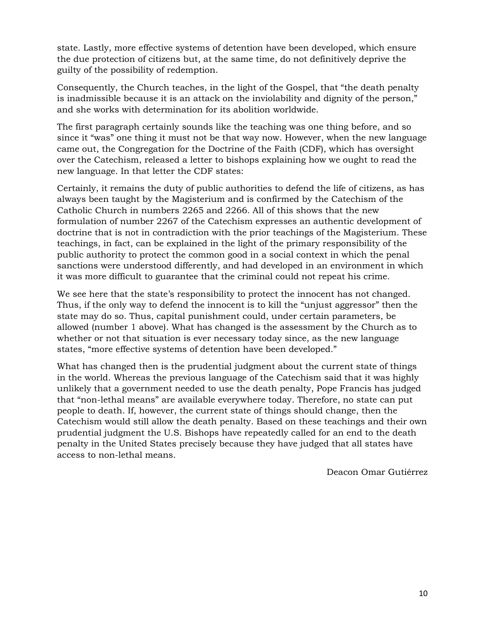state. Lastly, more effective systems of detention have been developed, which ensure the due protection of citizens but, at the same time, do not definitively deprive the guilty of the possibility of redemption.

Consequently, the Church teaches, in the light of the Gospel, that "the death penalty is inadmissible because it is an attack on the inviolability and dignity of the person," and she works with determination for its abolition worldwide.

The first paragraph certainly sounds like the teaching was one thing before, and so since it "was" one thing it must not be that way now. However, when the new language came out, the Congregation for the Doctrine of the Faith (CDF), which has oversight over the Catechism, released a letter to bishops explaining how we ought to read the new language. In that letter the CDF states:

Certainly, it remains the duty of public authorities to defend the life of citizens, as has always been taught by the Magisterium and is confirmed by the Catechism of the Catholic Church in numbers 2265 and 2266. All of this shows that the new formulation of number 2267 of the Catechism expresses an authentic development of doctrine that is not in contradiction with the prior teachings of the Magisterium. These teachings, in fact, can be explained in the light of the primary responsibility of the public authority to protect the common good in a social context in which the penal sanctions were understood differently, and had developed in an environment in which it was more difficult to guarantee that the criminal could not repeat his crime.

We see here that the state's responsibility to protect the innocent has not changed. Thus, if the only way to defend the innocent is to kill the "unjust aggressor" then the state may do so. Thus, capital punishment could, under certain parameters, be allowed (number 1 above). What has changed is the assessment by the Church as to whether or not that situation is ever necessary today since, as the new language states, "more effective systems of detention have been developed."

What has changed then is the prudential judgment about the current state of things in the world. Whereas the previous language of the Catechism said that it was highly unlikely that a government needed to use the death penalty, Pope Francis has judged that "non-lethal means" are available everywhere today. Therefore, no state can put people to death. If, however, the current state of things should change, then the Catechism would still allow the death penalty. Based on these teachings and their own prudential judgment the U.S. Bishops have repeatedly called for an end to the death penalty in the United States precisely because they have judged that all states have access to non-lethal means.

Deacon Omar Gutiérrez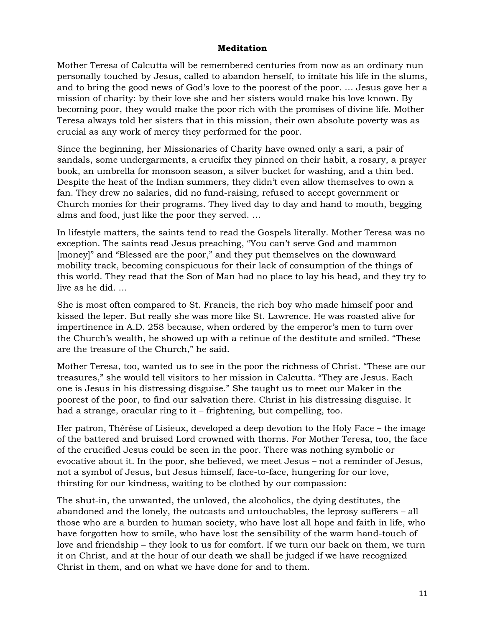#### **Meditation**

Mother Teresa of Calcutta will be remembered centuries from now as an ordinary nun personally touched by Jesus, called to abandon herself, to imitate his life in the slums, and to bring the good news of God's love to the poorest of the poor. … Jesus gave her a mission of charity: by their love she and her sisters would make his love known. By becoming poor, they would make the poor rich with the promises of divine life. Mother Teresa always told her sisters that in this mission, their own absolute poverty was as crucial as any work of mercy they performed for the poor.

Since the beginning, her Missionaries of Charity have owned only a sari, a pair of sandals, some undergarments, a crucifix they pinned on their habit, a rosary, a prayer book, an umbrella for monsoon season, a silver bucket for washing, and a thin bed. Despite the heat of the Indian summers, they didn't even allow themselves to own a fan. They drew no salaries, did no fund-raising, refused to accept government or Church monies for their programs. They lived day to day and hand to mouth, begging alms and food, just like the poor they served. …

In lifestyle matters, the saints tend to read the Gospels literally. Mother Teresa was no exception. The saints read Jesus preaching, "You can't serve God and mammon [money]" and "Blessed are the poor," and they put themselves on the downward mobility track, becoming conspicuous for their lack of consumption of the things of this world. They read that the Son of Man had no place to lay his head, and they try to live as he did. …

She is most often compared to St. Francis, the rich boy who made himself poor and kissed the leper. But really she was more like St. Lawrence. He was roasted alive for impertinence in A.D. 258 because, when ordered by the emperor's men to turn over the Church's wealth, he showed up with a retinue of the destitute and smiled. "These are the treasure of the Church," he said.

Mother Teresa, too, wanted us to see in the poor the richness of Christ. "These are our treasures," she would tell visitors to her mission in Calcutta. "They are Jesus. Each one is Jesus in his distressing disguise." She taught us to meet our Maker in the poorest of the poor, to find our salvation there. Christ in his distressing disguise. It had a strange, oracular ring to it – frightening, but compelling, too.

Her patron, Thérèse of Lisieux, developed a deep devotion to the Holy Face – the image of the battered and bruised Lord crowned with thorns. For Mother Teresa, too, the face of the crucified Jesus could be seen in the poor. There was nothing symbolic or evocative about it. In the poor, she believed, we meet Jesus – not a reminder of Jesus, not a symbol of Jesus, but Jesus himself, face-to-face, hungering for our love, thirsting for our kindness, waiting to be clothed by our compassion:

The shut-in, the unwanted, the unloved, the alcoholics, the dying destitutes, the abandoned and the lonely, the outcasts and untouchables, the leprosy sufferers – all those who are a burden to human society, who have lost all hope and faith in life, who have forgotten how to smile, who have lost the sensibility of the warm hand-touch of love and friendship – they look to us for comfort. If we turn our back on them, we turn it on Christ, and at the hour of our death we shall be judged if we have recognized Christ in them, and on what we have done for and to them.